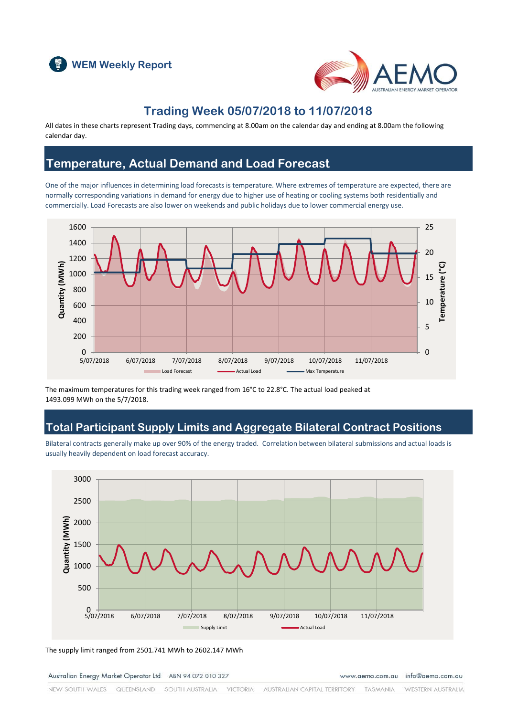



### **Trading Week 05/07/2018 to 11/07/2018**

All dates in these charts represent Trading days, commencing at 8.00am on the calendar day and ending at 8.00am the following calendar day.

#### **Temperature, Actual Demand and Load Forecast**

One of the major influences in determining load forecasts is temperature. Where extremes of temperature are expected, there are normally corresponding variations in demand for energy due to higher use of heating or cooling systems both residentially and commercially. Load Forecasts are also lower on weekends and public holidays due to lower commercial energy use.



The maximum temperatures for this trading week ranged from 16°C to 22.8°C. The actual load peaked at 1493.099 MWh on the 5/7/2018.

### **Total Participant Supply Limits and Aggregate Bilateral Contract Positions**

Bilateral contracts generally make up over 90% of the energy traded. Correlation between bilateral submissions and actual loads is usually heavily dependent on load forecast accuracy.



The supply limit ranged from 2501.741 MWh to 2602.147 MWh

Australian Energy Market Operator Ltd ABN 94 072 010 327

www.aemo.com.au info@aemo.com.au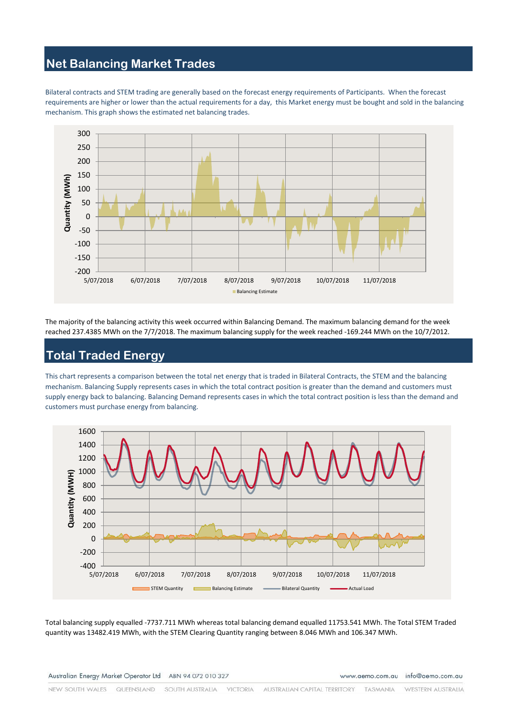### **Net Balancing Market Trades**

Bilateral contracts and STEM trading are generally based on the forecast energy requirements of Participants. When the forecast requirements are higher or lower than the actual requirements for a day, this Market energy must be bought and sold in the balancing mechanism. This graph shows the estimated net balancing trades.



The majority of the balancing activity this week occurred within Balancing Demand. The maximum balancing demand for the week reached 237.4385 MWh on the 7/7/2018. The maximum balancing supply for the week reached -169.244 MWh on the 10/7/2012.

## **Total Traded Energy**

This chart represents a comparison between the total net energy that is traded in Bilateral Contracts, the STEM and the balancing mechanism. Balancing Supply represents cases in which the total contract position is greater than the demand and customers must supply energy back to balancing. Balancing Demand represents cases in which the total contract position is less than the demand and customers must purchase energy from balancing.



Total balancing supply equalled -7737.711 MWh whereas total balancing demand equalled 11753.541 MWh. The Total STEM Traded quantity was 13482.419 MWh, with the STEM Clearing Quantity ranging between 8.046 MWh and 106.347 MWh.

Australian Energy Market Operator Ltd ABN 94 072 010 327

www.aemo.com.au info@aemo.com.au